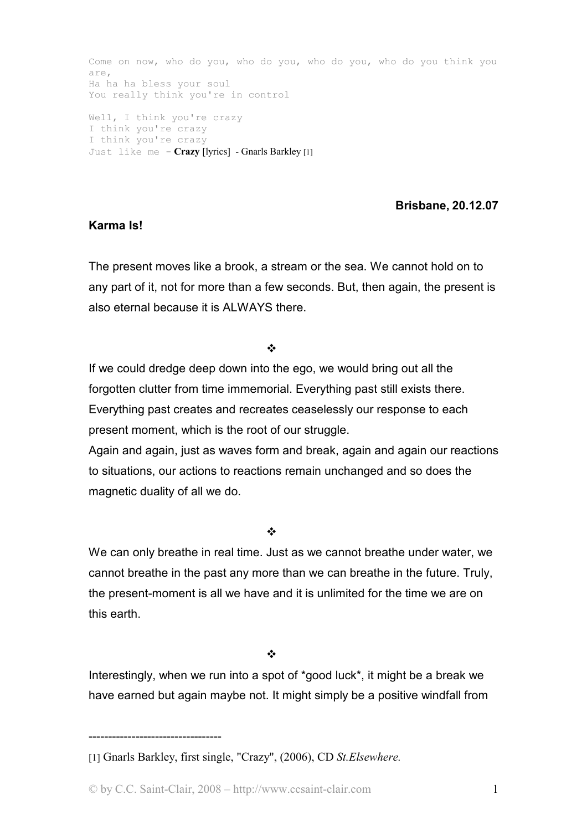Come on now, who do you, who do you, who do you, who do you think you are, Ha ha ha bless your soul You really think you're in control Well, I think you're crazy I think you're crazy

I think you're crazy Just like me - **Crazy** [lyrics] - Gnarls Barkley [1]

## **Brisbane, 20.12.07**

## **Karma Is!**

The present moves like a brook, a stream or the sea. We cannot hold on to any part of it, not for more than a few seconds. But, then again, the present is also eternal because it is ALWAYS there.

## $\mathbf{A}$

If we could dredge deep down into the ego, we would bring out all the forgotten clutter from time immemorial. Everything past still exists there. Everything past creates and recreates ceaselessly our response to each present moment, which is the root of our struggle.

Again and again, just as waves form and break, again and again our reactions to situations, our actions to reactions remain unchanged and so does the magnetic duality of all we do.

❖

We can only breathe in real time. Just as we cannot breathe under water, we cannot breathe in the past any more than we can breathe in the future. Truly, the present-moment is all we have and it is unlimited for the time we are on this earth.

## $\frac{1}{2}$

Interestingly, when we run into a spot of \*good luck\*, it might be a break we have earned but again maybe not. It might simply be a positive windfall from

----------------------------------

<sup>[1]</sup> Gnarls Barkley, first single, "Crazy", (2006), CD *St.Elsewhere.*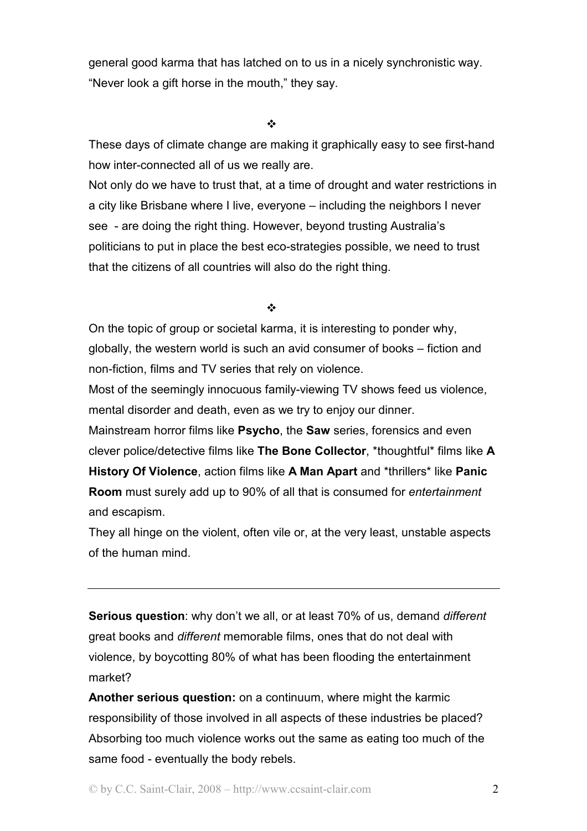general good karma that has latched on to us in a nicely synchronistic way. "Never look a gift horse in the mouth," they say.

#### $\frac{1}{2}$

These days of climate change are making it graphically easy to see first-hand how inter-connected all of us we really are.

Not only do we have to trust that, at a time of drought and water restrictions in a city like Brisbane where I live, everyone – including the neighbors I never see - are doing the right thing. However, beyond trusting Australia's politicians to put in place the best eco-strategies possible, we need to trust that the citizens of all countries will also do the right thing.

## $\frac{1}{2}$

On the topic of group or societal karma, it is interesting to ponder why, globally, the western world is such an avid consumer of books – fiction and non-fiction, films and TV series that rely on violence.

Most of the seemingly innocuous family-viewing TV shows feed us violence, mental disorder and death, even as we try to enjoy our dinner.

Mainstream horror films like **Psycho**, the **Saw** series, forensics and even clever police/detective films like **The Bone Collector**, \*thoughtful\* films like **A History Of Violence**, action films like **A Man Apart** and \*thrillers\* like **Panic Room** must surely add up to 90% of all that is consumed for *entertainment* and escapism.

They all hinge on the violent, often vile or, at the very least, unstable aspects of the human mind.

**Serious question**: why don't we all, or at least 70% of us, demand *different*  great books and *different* memorable films, ones that do not deal with violence, by boycotting 80% of what has been flooding the entertainment market?

**Another serious question:** on a continuum, where might the karmic responsibility of those involved in all aspects of these industries be placed? Absorbing too much violence works out the same as eating too much of the same food - eventually the body rebels.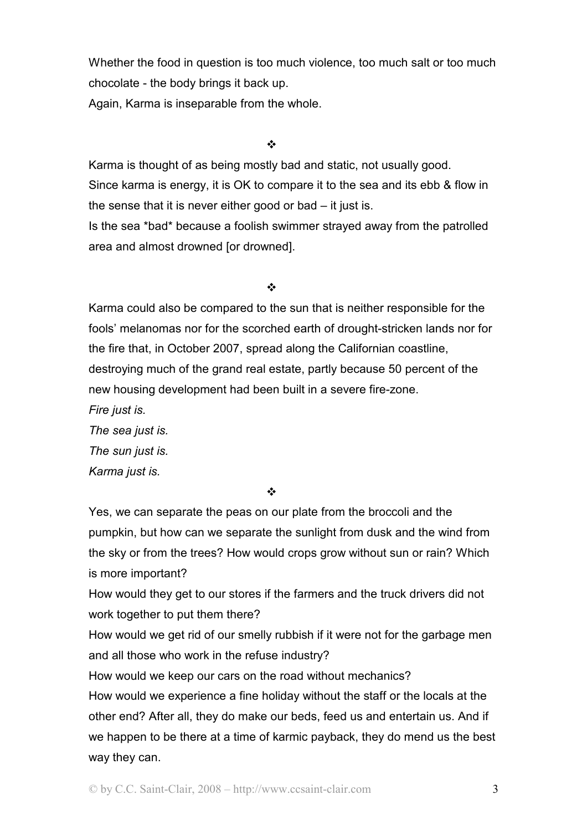Whether the food in question is too much violence, too much salt or too much chocolate - the body brings it back up.

Again, Karma is inseparable from the whole.

## ❖

Karma is thought of as being mostly bad and static, not usually good. Since karma is energy, it is OK to compare it to the sea and its ebb & flow in the sense that it is never either good or bad – it just is. Is the sea \*bad\* because a foolish swimmer strayed away from the patrolled

area and almost drowned [or drowned].

## $\mathbf{A}$

Karma could also be compared to the sun that is neither responsible for the fools' melanomas nor for the scorched earth of drought-stricken lands nor for the fire that, in October 2007, spread along the Californian coastline, destroying much of the grand real estate, partly because 50 percent of the new housing development had been built in a severe fire-zone.

*Fire just is.* 

*The sea just is. The sun just is. Karma just is.*

## $\frac{1}{2}$

Yes, we can separate the peas on our plate from the broccoli and the pumpkin, but how can we separate the sunlight from dusk and the wind from the sky or from the trees? How would crops grow without sun or rain? Which is more important?

How would they get to our stores if the farmers and the truck drivers did not work together to put them there?

How would we get rid of our smelly rubbish if it were not for the garbage men and all those who work in the refuse industry?

How would we keep our cars on the road without mechanics?

How would we experience a fine holiday without the staff or the locals at the other end? After all, they do make our beds, feed us and entertain us. And if we happen to be there at a time of karmic payback, they do mend us the best way they can.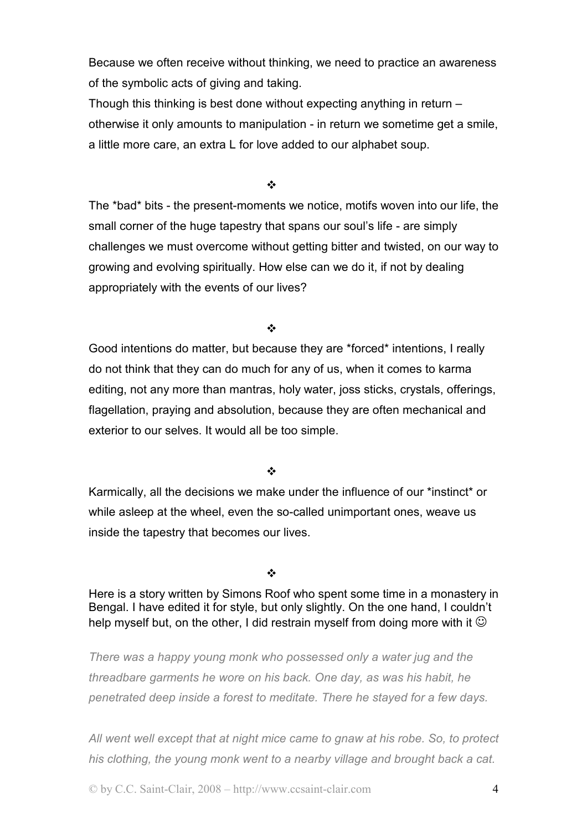Because we often receive without thinking, we need to practice an awareness of the symbolic acts of giving and taking.

Though this thinking is best done without expecting anything in return – otherwise it only amounts to manipulation - in return we sometime get a smile, a little more care, an extra L for love added to our alphabet soup.

#### $\frac{1}{2}$

The \*bad\* bits - the present-moments we notice, motifs woven into our life, the small corner of the huge tapestry that spans our soul's life - are simply challenges we must overcome without getting bitter and twisted, on our way to growing and evolving spiritually. How else can we do it, if not by dealing appropriately with the events of our lives?

 $\frac{1}{2}$ 

Good intentions do matter, but because they are \*forced\* intentions, I really do not think that they can do much for any of us, when it comes to karma editing, not any more than mantras, holy water, joss sticks, crystals, offerings, flagellation, praying and absolution, because they are often mechanical and exterior to our selves. It would all be too simple.

 $\frac{1}{2}$ 

Karmically, all the decisions we make under the influence of our \*instinct\* or while asleep at the wheel, even the so-called unimportant ones, weave us inside the tapestry that becomes our lives.

#### $\mathbf{r}^{\star}_{\mathbf{r}^{\star}}$

Here is a story written by Simons Roof who spent some time in a monastery in Bengal. I have edited it for style, but only slightly. On the one hand, I couldn't help myself but, on the other, I did restrain myself from doing more with it  $\odot$ 

*There was a happy young monk who possessed only a water jug and the threadbare garments he wore on his back. One day, as was his habit, he penetrated deep inside a forest to meditate. There he stayed for a few days.* 

*All went well except that at night mice came to gnaw at his robe. So, to protect his clothing, the young monk went to a nearby village and brought back a cat.*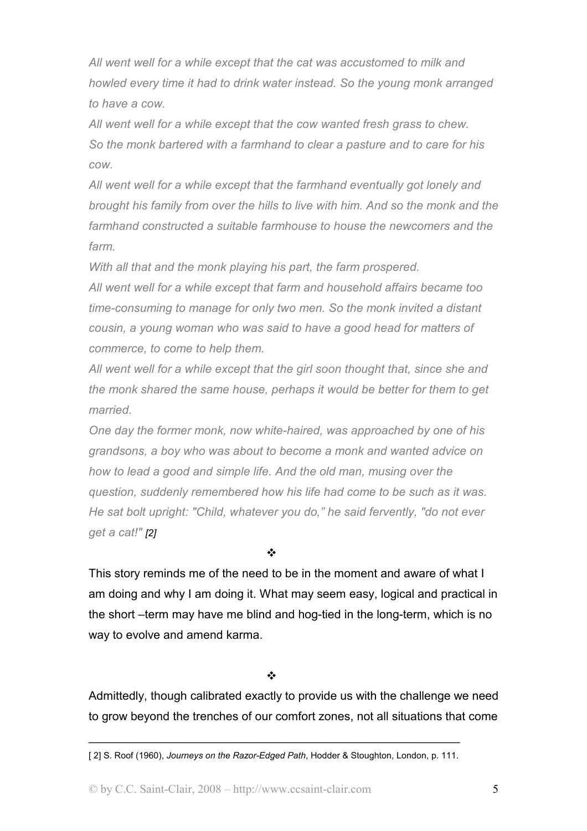*All went well for a while except that the cat was accustomed to milk and howled every time it had to drink water instead. So the young monk arranged to have a cow.*

*All went well for a while except that the cow wanted fresh grass to chew. So the monk bartered with a farmhand to clear a pasture and to care for his cow.* 

*All went well for a while except that the farmhand eventually got lonely and brought his family from over the hills to live with him. And so the monk and the farmhand constructed a suitable farmhouse to house the newcomers and the farm.* 

*With all that and the monk playing his part, the farm prospered.* 

*All went well for a while except that farm and household affairs became too time-consuming to manage for only two men. So the monk invited a distant cousin, a young woman who was said to have a good head for matters of commerce, to come to help them.* 

*All went well for a while except that the girl soon thought that, since she and the monk shared the same house, perhaps it would be better for them to get married.* 

*One day the former monk, now white-haired, was approached by one of his grandsons, a boy who was about to become a monk and wanted advice on how to lead a good and simple life. And the old man, musing over the question, suddenly remembered how his life had come to be such as it was. He sat bolt upright: "Child, whatever you do," he said fervently, "do not ever get a cat!" [2]*

 $\mathbf{A}$ 

This story reminds me of the need to be in the moment and aware of what I am doing and why I am doing it. What may seem easy, logical and practical in the short –term may have me blind and hog-tied in the long-term, which is no way to evolve and amend karma.

## $\frac{1}{2}$

Admittedly, though calibrated exactly to provide us with the challenge we need to grow beyond the trenches of our comfort zones, not all situations that come

\_\_\_\_\_\_\_\_\_\_\_\_\_\_\_\_\_\_\_\_\_\_\_\_\_\_\_\_\_\_\_\_\_\_\_\_\_\_\_\_\_\_\_\_\_\_\_\_\_\_\_\_\_\_\_\_ [ 2] S. Roof (1960), *Journeys on the Razor-Edged Path*, Hodder & Stoughton, London, p. 111.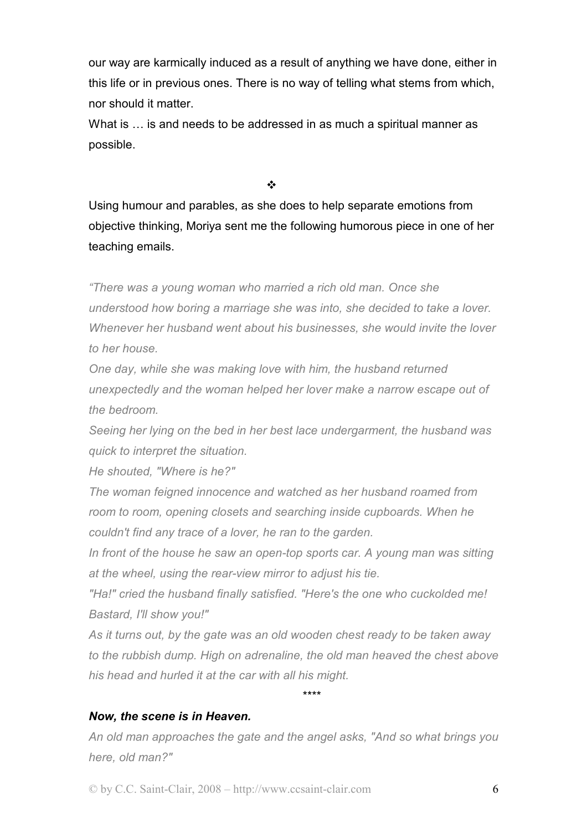our way are karmically induced as a result of anything we have done, either in this life or in previous ones. There is no way of telling what stems from which, nor should it matter.

What is … is and needs to be addressed in as much a spiritual manner as possible.

 $\frac{1}{2}$ 

Using humour and parables, as she does to help separate emotions from objective thinking, Moriya sent me the following humorous piece in one of her teaching emails.

*"There was a young woman who married a rich old man. Once she understood how boring a marriage she was into, she decided to take a lover. Whenever her husband went about his businesses, she would invite the lover to her house.* 

*One day, while she was making love with him, the husband returned unexpectedly and the woman helped her lover make a narrow escape out of the bedroom.* 

*Seeing her lying on the bed in her best lace undergarment, the husband was quick to interpret the situation.* 

*He shouted, "Where is he?"* 

*The woman feigned innocence and watched as her husband roamed from room to room, opening closets and searching inside cupboards. When he couldn't find any trace of a lover, he ran to the garden.* 

*In front of the house he saw an open-top sports car. A young man was sitting at the wheel, using the rear-view mirror to adjust his tie.* 

*"Ha!" cried the husband finally satisfied. "Here's the one who cuckolded me! Bastard, I'll show you!"* 

*As it turns out, by the gate was an old wooden chest ready to be taken away to the rubbish dump. High on adrenaline, the old man heaved the chest above his head and hurled it at the car with all his might.*

*\*\*\*\** 

## *Now, the scene is in Heaven.*

*An old man approaches the gate and the angel asks, "And so what brings you here, old man?"* 

© by C.C. Saint-Clair, 2008 – http://www.ccsaint-clair.com 6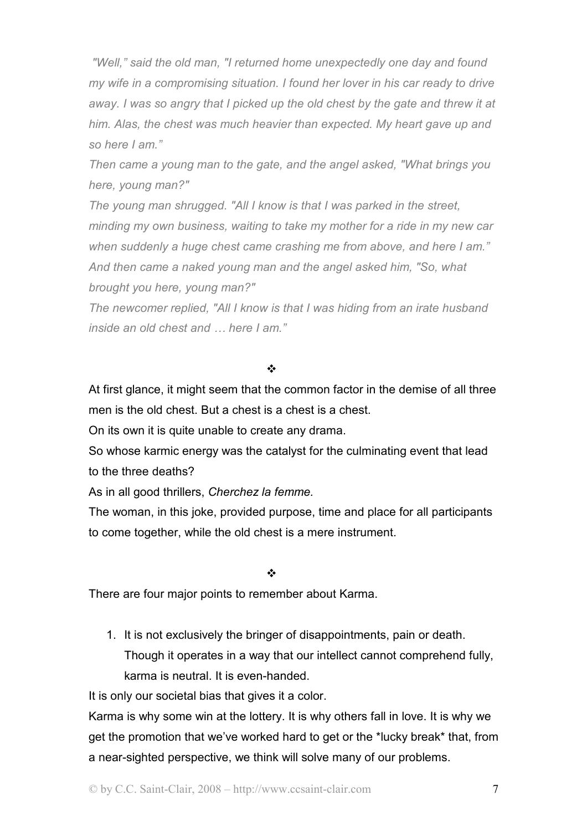*"Well," said the old man, "I returned home unexpectedly one day and found my wife in a compromising situation. I found her lover in his car ready to drive away. I was so angry that I picked up the old chest by the gate and threw it at him. Alas, the chest was much heavier than expected. My heart gave up and so here I am."* 

*Then came a young man to the gate, and the angel asked, "What brings you here, young man?"* 

*The young man shrugged. "All I know is that I was parked in the street, minding my own business, waiting to take my mother for a ride in my new car when suddenly a huge chest came crashing me from above, and here I am." And then came a naked young man and the angel asked him, "So, what brought you here, young man?"* 

*The newcomer replied, "All I know is that I was hiding from an irate husband inside an old chest and … here I am."* 

## $\frac{1}{2}$

At first glance, it might seem that the common factor in the demise of all three men is the old chest. But a chest is a chest is a chest.

On its own it is quite unable to create any drama.

So whose karmic energy was the catalyst for the culminating event that lead to the three deaths?

As in all good thrillers, *Cherchez la femme.*

The woman, in this joke, provided purpose, time and place for all participants to come together, while the old chest is a mere instrument.

❖

There are four major points to remember about Karma.

1. It is not exclusively the bringer of disappointments, pain or death. Though it operates in a way that our intellect cannot comprehend fully, karma is neutral. It is even-handed.

It is only our societal bias that gives it a color.

Karma is why some win at the lottery. It is why others fall in love. It is why we get the promotion that we've worked hard to get or the \*lucky break\* that, from a near-sighted perspective, we think will solve many of our problems.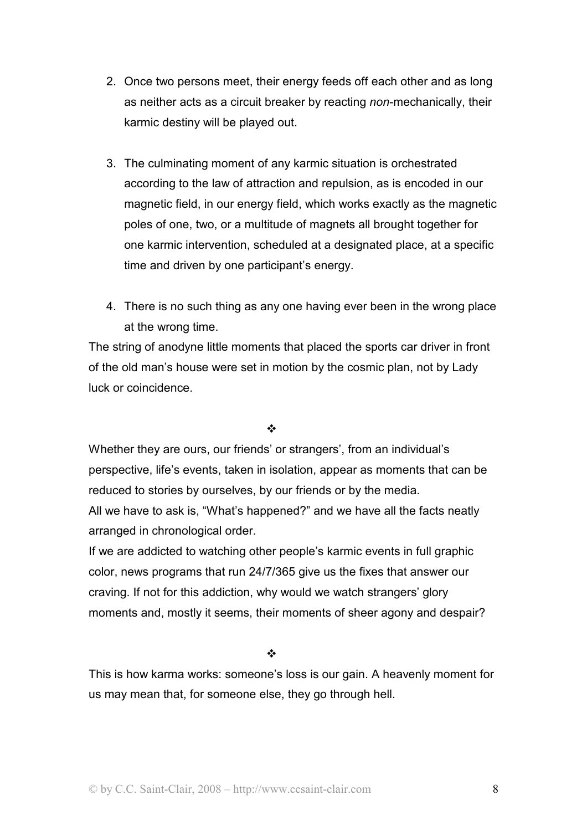- 2. Once two persons meet, their energy feeds off each other and as long as neither acts as a circuit breaker by reacting *non*-mechanically, their karmic destiny will be played out.
- 3. The culminating moment of any karmic situation is orchestrated according to the law of attraction and repulsion, as is encoded in our magnetic field, in our energy field, which works exactly as the magnetic poles of one, two, or a multitude of magnets all brought together for one karmic intervention, scheduled at a designated place, at a specific time and driven by one participant's energy.
- 4. There is no such thing as any one having ever been in the wrong place at the wrong time.

The string of anodyne little moments that placed the sports car driver in front of the old man's house were set in motion by the cosmic plan, not by Lady luck or coincidence.

 $\frac{1}{2}$ 

Whether they are ours, our friends' or strangers', from an individual's perspective, life's events, taken in isolation, appear as moments that can be reduced to stories by ourselves, by our friends or by the media. All we have to ask is, "What's happened?" and we have all the facts neatly arranged in chronological order.

If we are addicted to watching other people's karmic events in full graphic color, news programs that run 24/7/365 give us the fixes that answer our craving. If not for this addiction, why would we watch strangers' glory moments and, mostly it seems, their moments of sheer agony and despair?

 $\frac{1}{2}$ 

This is how karma works: someone's loss is our gain. A heavenly moment for us may mean that, for someone else, they go through hell.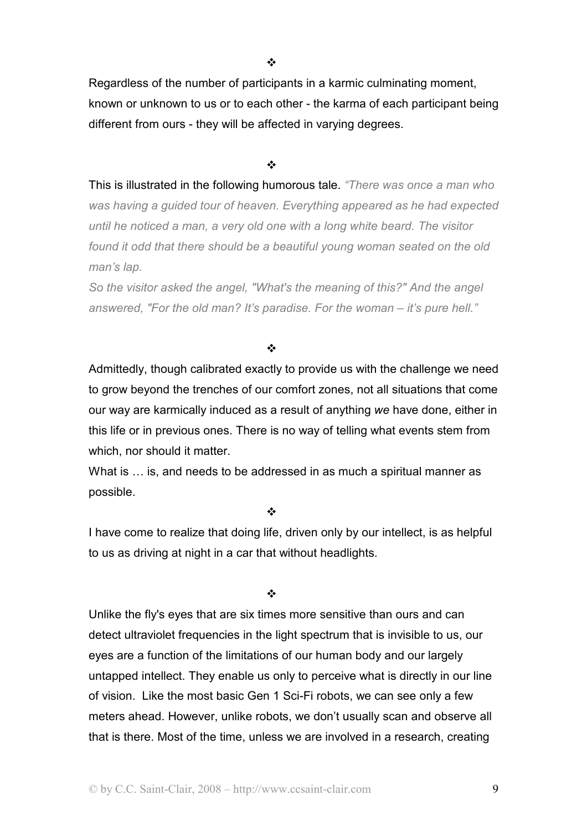Regardless of the number of participants in a karmic culminating moment, known or unknown to us or to each other - the karma of each participant being different from ours - they will be affected in varying degrees.

 $\frac{1}{2}$ 

 $\frac{1}{2}$ 

This is illustrated in the following humorous tale. *"There was once a man who was having a guided tour of heaven. Everything appeared as he had expected until he noticed a man, a very old one with a long white beard. The visitor found it odd that there should be a beautiful young woman seated on the old man's lap.* 

*So the visitor asked the angel, "What's the meaning of this?" And the angel answered, "For the old man? It's paradise. For the woman – it's pure hell."*

## $\frac{1}{2}$

Admittedly, though calibrated exactly to provide us with the challenge we need to grow beyond the trenches of our comfort zones, not all situations that come our way are karmically induced as a result of anything *we* have done, either in this life or in previous ones. There is no way of telling what events stem from which, nor should it matter.

What is ... is, and needs to be addressed in as much a spiritual manner as possible.

 $\frac{1}{2}$ 

I have come to realize that doing life, driven only by our intellect, is as helpful to us as driving at night in a car that without headlights.

 $\frac{1}{2}$ 

Unlike the fly's eyes that are six times more sensitive than ours and can detect ultraviolet frequencies in the light spectrum that is invisible to us, our eyes are a function of the limitations of our human body and our largely untapped intellect. They enable us only to perceive what is directly in our line of vision. Like the most basic Gen 1 Sci-Fi robots, we can see only a few meters ahead. However, unlike robots, we don't usually scan and observe all that is there. Most of the time, unless we are involved in a research, creating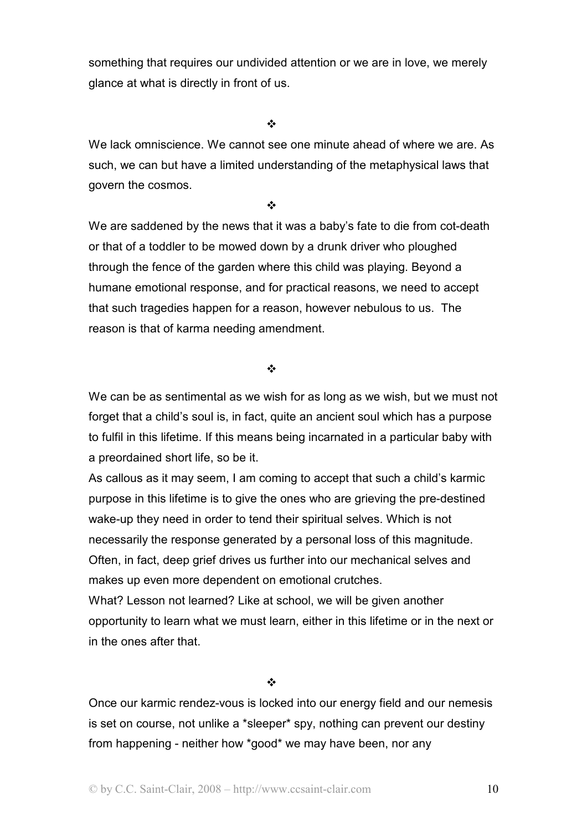something that requires our undivided attention or we are in love, we merely glance at what is directly in front of us.

 $\frac{1}{2}$ 

We lack omniscience. We cannot see one minute ahead of where we are. As such, we can but have a limited understanding of the metaphysical laws that govern the cosmos.

 $\frac{1}{2}$ 

We are saddened by the news that it was a baby's fate to die from cot-death or that of a toddler to be mowed down by a drunk driver who ploughed through the fence of the garden where this child was playing. Beyond a humane emotional response, and for practical reasons, we need to accept that such tragedies happen for a reason, however nebulous to us. The reason is that of karma needing amendment.

## $\bullet^*$

We can be as sentimental as we wish for as long as we wish, but we must not forget that a child's soul is, in fact, quite an ancient soul which has a purpose to fulfil in this lifetime. If this means being incarnated in a particular baby with a preordained short life, so be it.

As callous as it may seem, I am coming to accept that such a child's karmic purpose in this lifetime is to give the ones who are grieving the pre-destined wake-up they need in order to tend their spiritual selves. Which is not necessarily the response generated by a personal loss of this magnitude. Often, in fact, deep grief drives us further into our mechanical selves and makes up even more dependent on emotional crutches.

What? Lesson not learned? Like at school, we will be given another opportunity to learn what we must learn, either in this lifetime or in the next or in the ones after that.

## $\cdot$

Once our karmic rendez-vous is locked into our energy field and our nemesis is set on course, not unlike a \*sleeper\* spy, nothing can prevent our destiny from happening - neither how \*good\* we may have been, nor any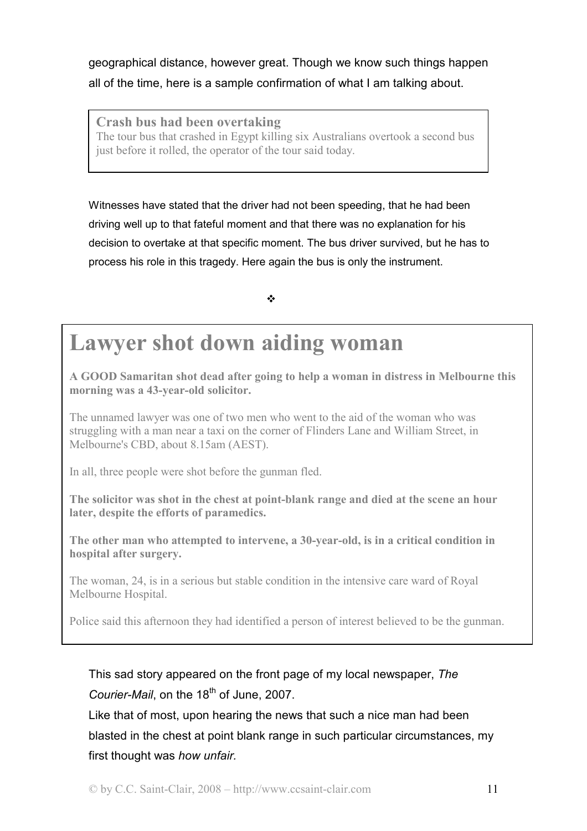geographical distance, however great. Though we know such things happen all of the time, here is a sample confirmation of what I am talking about.

**Crash bus had been overtaking**  The tour bus that crashed in Egypt killing six Australians overtook a second bus just before it rolled, the operator of the tour said today.

Witnesses have stated that the driver had not been speeding, that he had been driving well up to that fateful moment and that there was no explanation for his decision to overtake at that specific moment. The bus driver survived, but he has to process his role in this tragedy. Here again the bus is only the instrument.

 $\frac{1}{2}$ 

# **Lawyer shot down aiding woman**

**A GOOD Samaritan shot dead after going to help a woman in distress in Melbourne this morning was a 43-year-old solicitor.**

The unnamed lawyer was one of two men who went to the aid of the woman who was struggling with a man near a taxi on the corner of Flinders Lane and William Street, in Melbourne's CBD, about 8.15am (AEST).

In all, three people were shot before the gunman fled.

**The solicitor was shot in the chest at point-blank range and died at the scene an hour later, despite the efforts of paramedics.**

**The other man who attempted to intervene, a 30-year-old, is in a critical condition in hospital after surgery.**

The woman, 24, is in a serious but stable condition in the intensive care ward of Royal Melbourne Hospital.

Police said this afternoon they had identified a person of interest believed to be the gunman.

This sad story appeared on the front page of my local newspaper, *The Courier-Mail*, on the 18<sup>th</sup> of June, 2007.

Like that of most, upon hearing the news that such a nice man had been blasted in the chest at point blank range in such particular circumstances, my first thought was *how unfair.*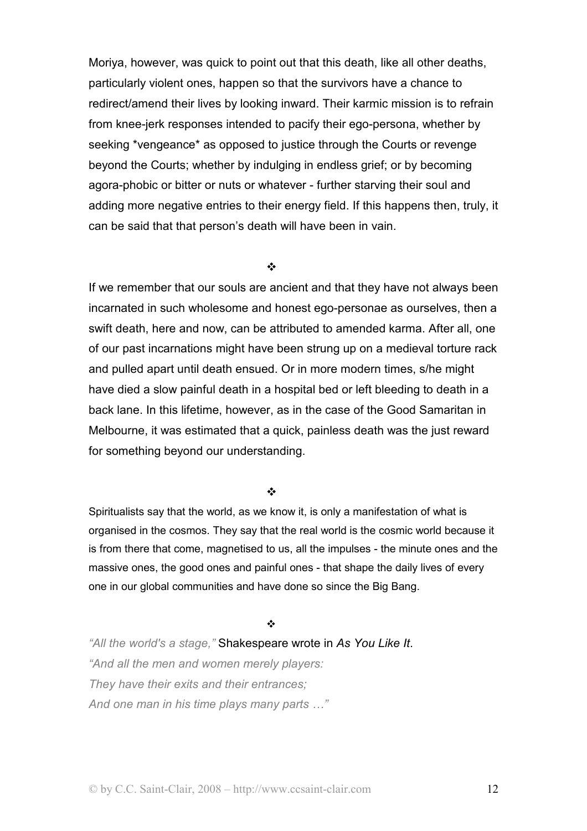Moriya, however, was quick to point out that this death, like all other deaths, particularly violent ones, happen so that the survivors have a chance to redirect/amend their lives by looking inward. Their karmic mission is to refrain from knee-jerk responses intended to pacify their ego-persona, whether by seeking \*vengeance\* as opposed to justice through the Courts or revenge beyond the Courts; whether by indulging in endless grief; or by becoming agora-phobic or bitter or nuts or whatever - further starving their soul and adding more negative entries to their energy field. If this happens then, truly, it can be said that that person's death will have been in vain.

 $\frac{1}{2}$ 

If we remember that our souls are ancient and that they have not always been incarnated in such wholesome and honest ego-personae as ourselves, then a swift death, here and now, can be attributed to amended karma. After all, one of our past incarnations might have been strung up on a medieval torture rack and pulled apart until death ensued. Or in more modern times, s/he might have died a slow painful death in a hospital bed or left bleeding to death in a back lane. In this lifetime, however, as in the case of the Good Samaritan in Melbourne, it was estimated that a quick, painless death was the just reward for something beyond our understanding.

## $\frac{1}{2}$

Spiritualists say that the world, as we know it, is only a manifestation of what is organised in the cosmos. They say that the real world is the cosmic world because it is from there that come, magnetised to us, all the impulses - the minute ones and the massive ones, the good ones and painful ones - that shape the daily lives of every one in our global communities and have done so since the Big Bang.

#### $\frac{1}{2}$

*"All the world's a stage,"* Shakespeare wrote in *As You Like It*. *"And all the men and women merely players: They have their exits and their entrances; And one man in his time plays many parts …"*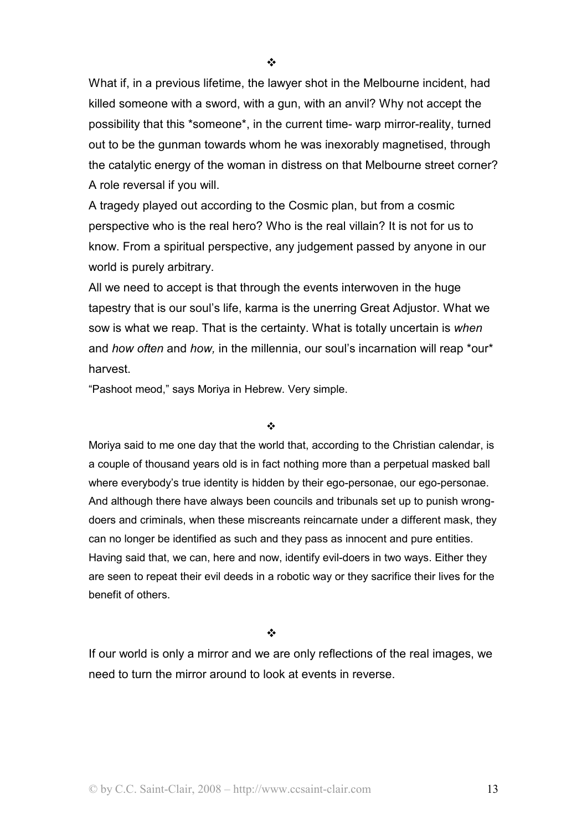What if, in a previous lifetime, the lawyer shot in the Melbourne incident, had killed someone with a sword, with a gun, with an anvil? Why not accept the possibility that this \*someone\*, in the current time- warp mirror-reality, turned out to be the gunman towards whom he was inexorably magnetised, through the catalytic energy of the woman in distress on that Melbourne street corner? A role reversal if you will.

A tragedy played out according to the Cosmic plan, but from a cosmic perspective who is the real hero? Who is the real villain? It is not for us to know. From a spiritual perspective, any judgement passed by anyone in our world is purely arbitrary.

All we need to accept is that through the events interwoven in the huge tapestry that is our soul's life, karma is the unerring Great Adjustor. What we sow is what we reap. That is the certainty. What is totally uncertain is *when* and *how often* and *how,* in the millennia, our soul's incarnation will reap \*our\* harvest.

"Pashoot meod," says Moriya in Hebrew. Very simple.

 $\frac{1}{2}$ 

Moriya said to me one day that the world that, according to the Christian calendar, is a couple of thousand years old is in fact nothing more than a perpetual masked ball where everybody's true identity is hidden by their ego-personae, our ego-personae. And although there have always been councils and tribunals set up to punish wrongdoers and criminals, when these miscreants reincarnate under a different mask, they can no longer be identified as such and they pass as innocent and pure entities. Having said that, we can, here and now, identify evil-doers in two ways. Either they are seen to repeat their evil deeds in a robotic way or they sacrifice their lives for the benefit of others.

 $\frac{1}{2}$ 

If our world is only a mirror and we are only reflections of the real images, we need to turn the mirror around to look at events in reverse.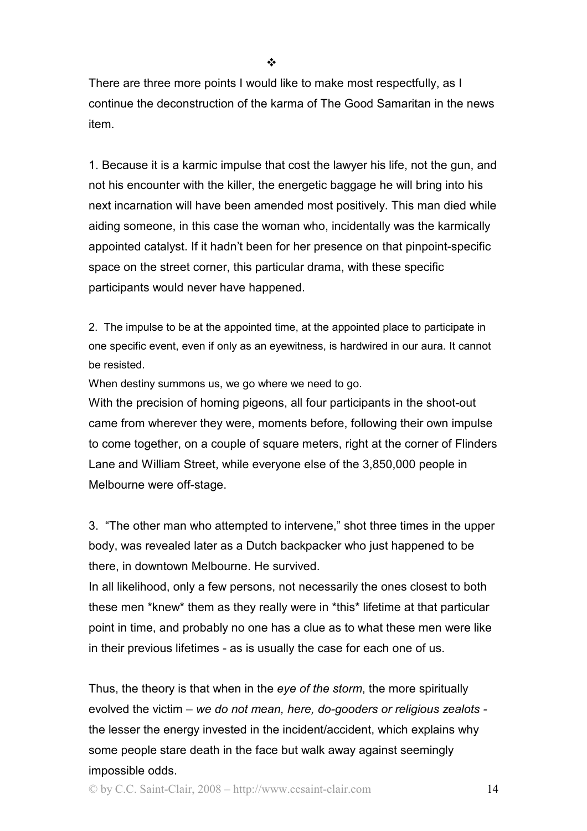There are three more points I would like to make most respectfully, as I continue the deconstruction of the karma of The Good Samaritan in the news item.

1. Because it is a karmic impulse that cost the lawyer his life, not the gun, and not his encounter with the killer, the energetic baggage he will bring into his next incarnation will have been amended most positively. This man died while aiding someone, in this case the woman who, incidentally was the karmically appointed catalyst. If it hadn't been for her presence on that pinpoint-specific space on the street corner, this particular drama, with these specific participants would never have happened.

2. The impulse to be at the appointed time, at the appointed place to participate in one specific event, even if only as an eyewitness, is hardwired in our aura. It cannot be resisted.

When destiny summons us, we go where we need to go.

With the precision of homing pigeons, all four participants in the shoot-out came from wherever they were, moments before, following their own impulse to come together, on a couple of square meters, right at the corner of Flinders Lane and William Street, while everyone else of the 3,850,000 people in Melbourne were off-stage.

3. "The other man who attempted to intervene," shot three times in the upper body, was revealed later as a Dutch backpacker who just happened to be there, in downtown Melbourne. He survived.

In all likelihood, only a few persons, not necessarily the ones closest to both these men \*knew\* them as they really were in \*this\* lifetime at that particular point in time, and probably no one has a clue as to what these men were like in their previous lifetimes - as is usually the case for each one of us.

Thus, the theory is that when in the *eye of the storm*, the more spiritually evolved the victim – *we do not mean, here, do-gooders or religious zealots*  the lesser the energy invested in the incident/accident, which explains why some people stare death in the face but walk away against seemingly impossible odds.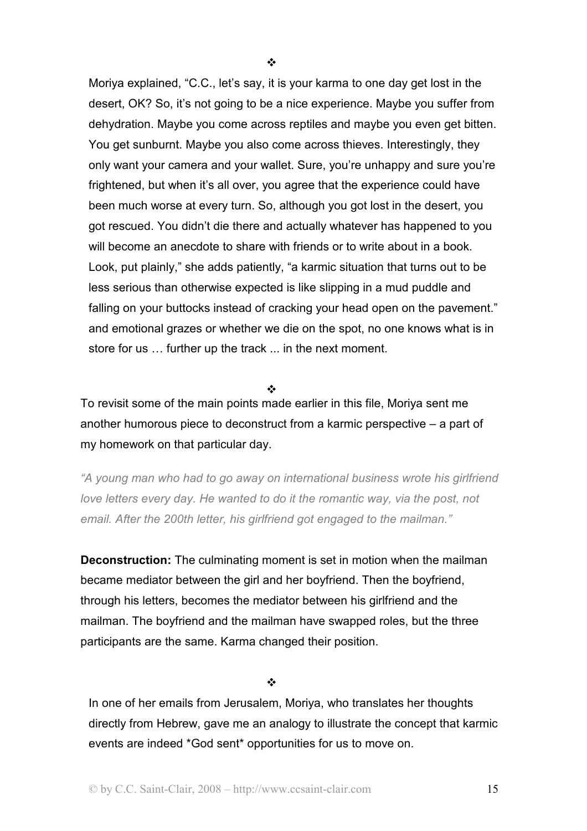Moriya explained, "C.C., let's say, it is your karma to one day get lost in the desert, OK? So, it's not going to be a nice experience. Maybe you suffer from dehydration. Maybe you come across reptiles and maybe you even get bitten. You get sunburnt. Maybe you also come across thieves. Interestingly, they only want your camera and your wallet. Sure, you're unhappy and sure you're frightened, but when it's all over, you agree that the experience could have been much worse at every turn. So, although you got lost in the desert, you got rescued. You didn't die there and actually whatever has happened to you will become an anecdote to share with friends or to write about in a book. Look, put plainly," she adds patiently, "a karmic situation that turns out to be less serious than otherwise expected is like slipping in a mud puddle and falling on your buttocks instead of cracking your head open on the pavement." and emotional grazes or whether we die on the spot, no one knows what is in store for us … further up the track ... in the next moment.

 $\frac{1}{2}$ 

 $\frac{1}{2}$ 

To revisit some of the main points made earlier in this file, Moriya sent me another humorous piece to deconstruct from a karmic perspective – a part of my homework on that particular day.

*"A young man who had to go away on international business wrote his girlfriend love letters every day. He wanted to do it the romantic way, via the post, not email. After the 200th letter, his girlfriend got engaged to the mailman."*

**Deconstruction:** The culminating moment is set in motion when the mailman became mediator between the girl and her boyfriend. Then the boyfriend, through his letters, becomes the mediator between his girlfriend and the mailman. The boyfriend and the mailman have swapped roles, but the three participants are the same. Karma changed their position.

 $\frac{1}{2}$ 

In one of her emails from Jerusalem, Moriya, who translates her thoughts directly from Hebrew, gave me an analogy to illustrate the concept that karmic events are indeed \*God sent\* opportunities for us to move on.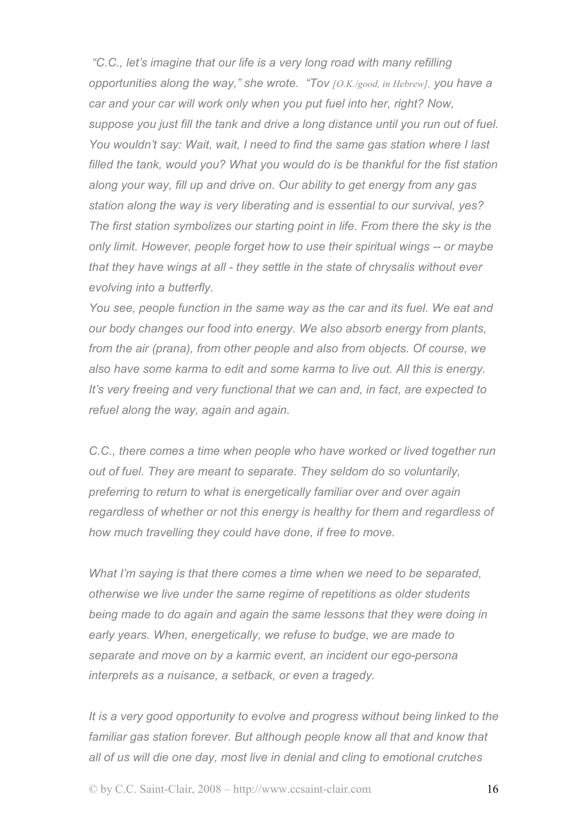*"C.C., let's imagine that our life is a very long road with many refilling opportunities along the way," she wrote. "Tov [O.K./good, in Hebrew], you have a car and your car will work only when you put fuel into her, right? Now, suppose you just fill the tank and drive a long distance until you run out of fuel. You wouldn't say: Wait, wait, I need to find the same gas station where I last filled the tank, would you? What you would do is be thankful for the fist station along your way, fill up and drive on. Our ability to get energy from any gas station along the way is very liberating and is essential to our survival, yes? The first station symbolizes our starting point in life. From there the sky is the only limit. However, people forget how to use their spiritual wings -- or maybe that they have wings at all - they settle in the state of chrysalis without ever evolving into a butterfly.* 

*You see, people function in the same way as the car and its fuel. We eat and our body changes our food into energy. We also absorb energy from plants, from the air (prana), from other people and also from objects. Of course, we also have some karma to edit and some karma to live out. All this is energy. It's very freeing and very functional that we can and, in fact, are expected to refuel along the way, again and again.* 

*C.C., there comes a time when people who have worked or lived together run out of fuel. They are meant to separate. They seldom do so voluntarily, preferring to return to what is energetically familiar over and over again regardless of whether or not this energy is healthy for them and regardless of how much travelling they could have done, if free to move.* 

*What I'm saying is that there comes a time when we need to be separated, otherwise we live under the same regime of repetitions as older students being made to do again and again the same lessons that they were doing in early years. When, energetically, we refuse to budge, we are made to separate and move on by a karmic event, an incident our ego-persona interprets as a nuisance, a setback, or even a tragedy.* 

*It is a very good opportunity to evolve and progress without being linked to the familiar gas station forever. But although people know all that and know that all of us will die one day, most live in denial and cling to emotional crutches*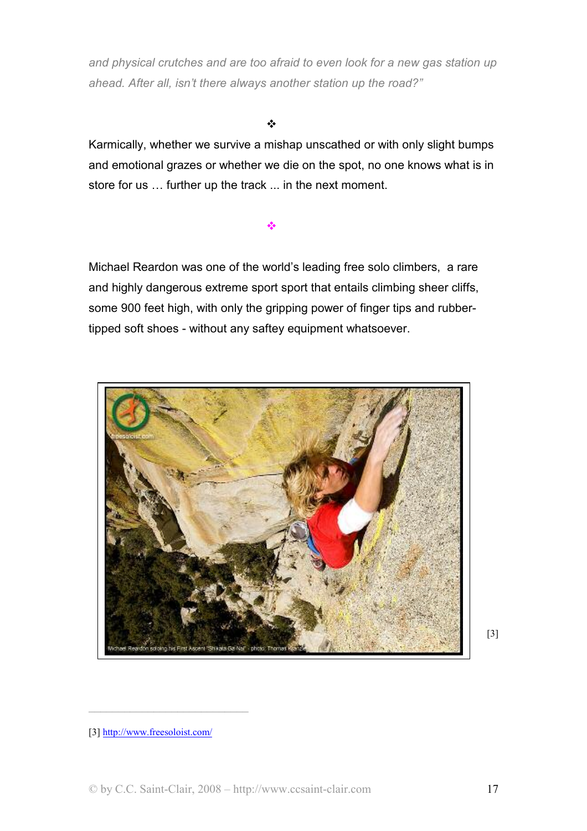*and physical crutches and are too afraid to even look for a new gas station up ahead. After all, isn't there always another station up the road?"* 

## $\ddot{\bullet}$

٠

Karmically, whether we survive a mishap unscathed or with only slight bumps and emotional grazes or whether we die on the spot, no one knows what is in store for us … further up the track ... in the next moment.

## Michael Reardon was one of the world's leading free solo climbers, a rare and highly dangerous extreme sport sport that entails climbing sheer cliffs, some 900 feet high, with only the gripping power of finger tips and rubbertipped soft shoes - without any saftey equipment whatsoever.



[3]

<sup>[3]</sup> http://www.freesoloist.com/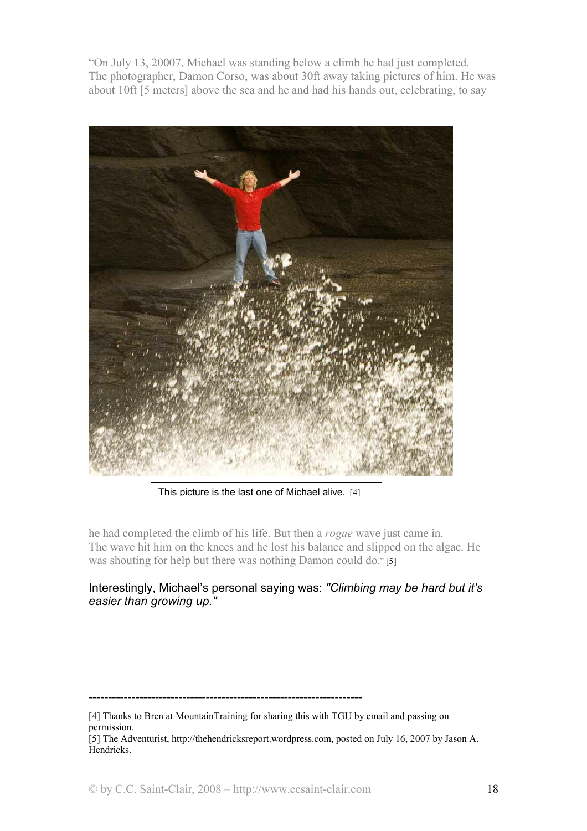"On July 13, 20007, Michael was standing below a climb he had just completed. The photographer, Damon Corso, was about 30ft away taking pictures of him. He was about 10ft [5 meters] above the sea and he and had his hands out, celebrating, to say



This picture is the last one of Michael alive. [4]

he had completed the climb of his life. But then a *rogue* wave just came in. The wave hit him on the knees and he lost his balance and slipped on the algae. He was shouting for help but there was nothing Damon could do." [5]

## Interestingly, Michael's personal saying was: *"Climbing may be hard but it's easier than growing up."*

<sup>----------------------------------------------------------------------</sup> 

<sup>[4]</sup> Thanks to Bren at MountainTraining for sharing this with TGU by email and passing on permission.

<sup>[5]</sup> The Adventurist, http://thehendricksreport.wordpress.com, posted on July 16, 2007 by Jason A. Hendricks.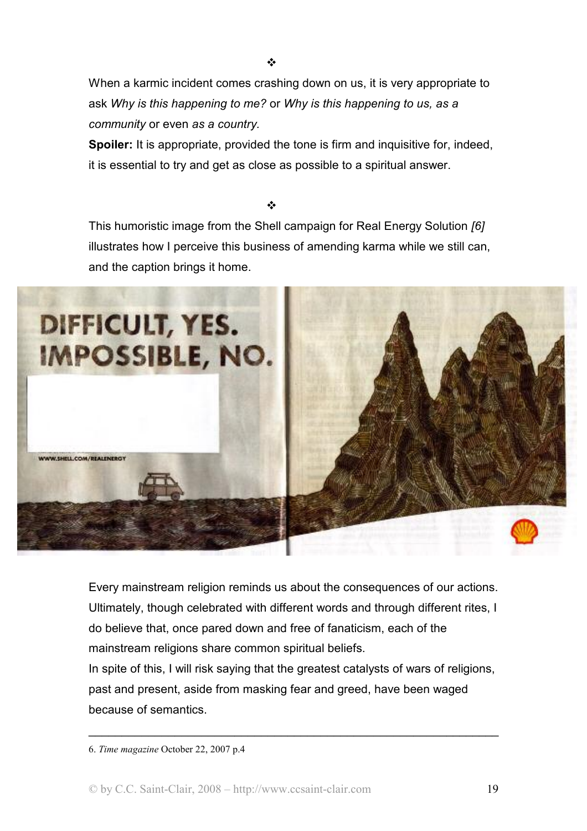When a karmic incident comes crashing down on us, it is very appropriate to ask *Why is this happening to me?* or *Why is this happening to us, as a community* or even *as a country.* 

**Spoiler:** It is appropriate, provided the tone is firm and inquisitive for, indeed, it is essential to try and get as close as possible to a spiritual answer.

❖

This humoristic image from the Shell campaign for Real Energy Solution *[6]* illustrates how I perceive this business of amending karma while we still can, and the caption brings it home.



Every mainstream religion reminds us about the consequences of our actions. Ultimately, though celebrated with different words and through different rites, I do believe that, once pared down and free of fanaticism, each of the mainstream religions share common spiritual beliefs.

In spite of this, I will risk saying that the greatest catalysts of wars of religions, past and present, aside from masking fear and greed, have been waged because of semantics.

\_\_\_\_\_\_\_\_\_\_\_\_\_\_\_\_\_\_\_\_\_\_\_\_\_\_\_\_\_\_\_\_\_\_\_\_\_\_\_\_\_\_\_\_\_\_\_\_\_\_\_\_\_\_\_\_\_\_\_\_\_\_

<sup>6.</sup> *Time magazine* October 22, 2007 p.4